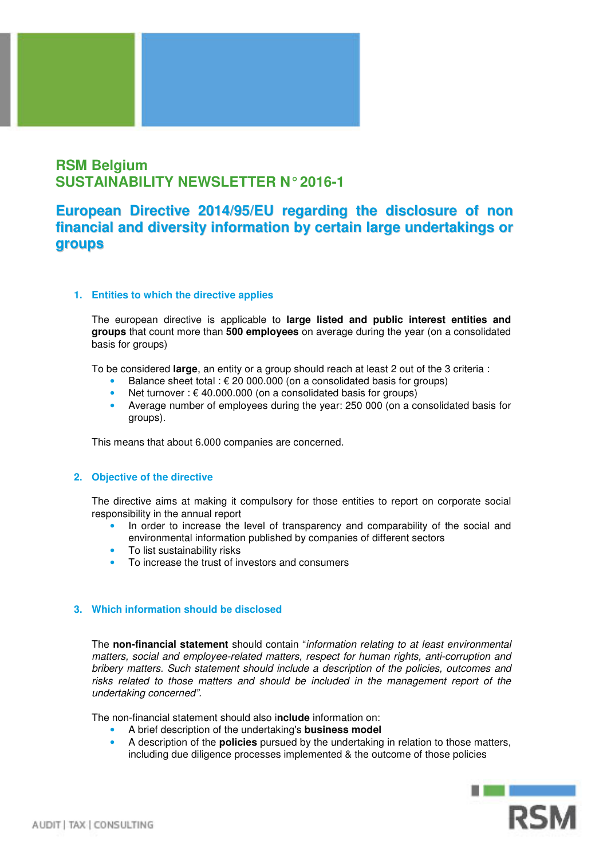

# **RSM Belgium SUSTAINABILITY NEWSLETTER N° 2016-1**

## **European Directive 2014/95/EU regarding the disclosure of non financial and diversity information by certain large undertakings or groups**

#### **1. Entities to which the directive applies**

The european directive is applicable to **large listed and public interest entities and groups** that count more than **500 employees** on average during the year (on a consolidated basis for groups)

To be considered **large**, an entity or a group should reach at least 2 out of the 3 criteria :

- Balance sheet total :  $\epsilon$  20 000.000 (on a consolidated basis for groups)
- Net turnover : € 40.000.000 (on a consolidated basis for groups)
- Average number of employees during the year: 250 000 (on a consolidated basis for groups).

This means that about 6.000 companies are concerned.

#### **2. Objective of the directive**

The directive aims at making it compulsory for those entities to report on corporate social responsibility in the annual report

- In order to increase the level of transparency and comparability of the social and environmental information published by companies of different sectors
- To list sustainability risks
- To increase the trust of investors and consumers

#### **3. Which information should be disclosed**

The **non-financial statement** should contain "information relating to at least environmental matters, social and employee-related matters, respect for human rights, anti-corruption and bribery matters. Such statement should include a description of the policies, outcomes and risks related to those matters and should be included in the management report of the undertaking concerned".

The non-financial statement should also i**nclude** information on:

- A brief description of the undertaking's **business model**
- A description of the **policies** pursued by the undertaking in relation to those matters, including due diligence processes implemented & the outcome of those policies

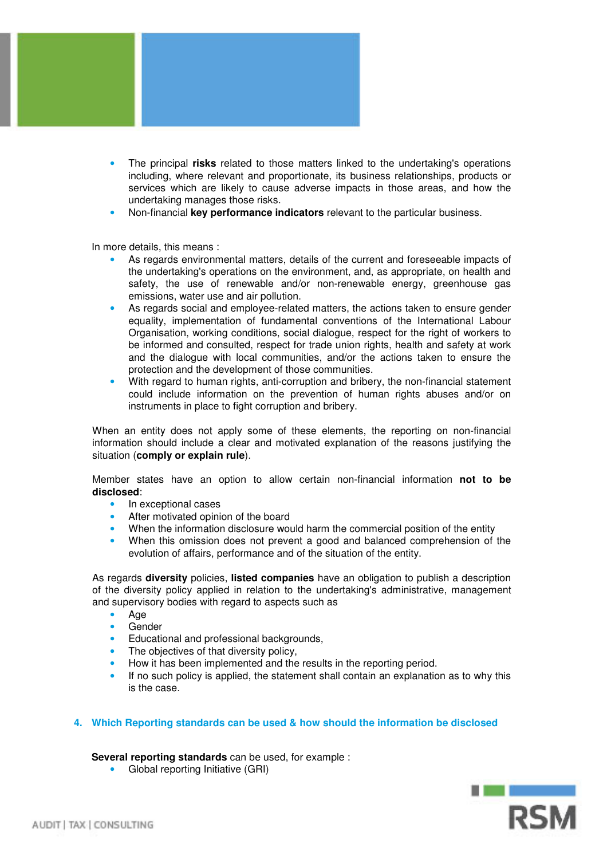

- The principal **risks** related to those matters linked to the undertaking's operations including, where relevant and proportionate, its business relationships, products or services which are likely to cause adverse impacts in those areas, and how the undertaking manages those risks.
- Non-financial **key performance indicators** relevant to the particular business.

In more details, this means :

- As regards environmental matters, details of the current and foreseeable impacts of the undertaking's operations on the environment, and, as appropriate, on health and safety, the use of renewable and/or non-renewable energy, greenhouse gas emissions, water use and air pollution.
- As regards social and employee-related matters, the actions taken to ensure gender equality, implementation of fundamental conventions of the International Labour Organisation, working conditions, social dialogue, respect for the right of workers to be informed and consulted, respect for trade union rights, health and safety at work and the dialogue with local communities, and/or the actions taken to ensure the protection and the development of those communities.
- With regard to human rights, anti-corruption and bribery, the non-financial statement could include information on the prevention of human rights abuses and/or on instruments in place to fight corruption and bribery.

When an entity does not apply some of these elements, the reporting on non-financial information should include a clear and motivated explanation of the reasons justifying the situation (**comply or explain rule**).

Member states have an option to allow certain non-financial information **not to be disclosed**:

- In exceptional cases<br>• After motivated opinion
- After motivated opinion of the board
- When the information disclosure would harm the commercial position of the entity
- When this omission does not prevent a good and balanced comprehension of the evolution of affairs, performance and of the situation of the entity.

As regards **diversity** policies, **listed companies** have an obligation to publish a description of the diversity policy applied in relation to the undertaking's administrative, management and supervisory bodies with regard to aspects such as

- Age
- **Gender**
- Educational and professional backgrounds,
- The objectives of that diversity policy,
- How it has been implemented and the results in the reporting period.
- If no such policy is applied, the statement shall contain an explanation as to why this is the case.

### **4. Which Reporting standards can be used & how should the information be disclosed**

**Several reporting standards** can be used, for example :

• Global reporting Initiative (GRI)